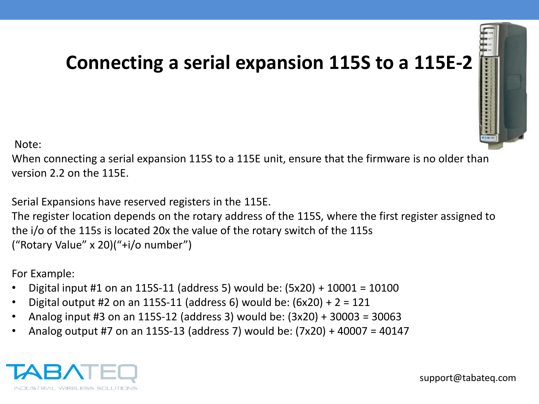## **Connecting a serial expansion 115S to a 115E-2**



Note:

When connecting a serial expansion 115S to a 115E unit, ensure that the firmware is no older than version 2.2 on the 115E.

Serial Expansions have reserved registers in the 115E.

The register location depends on the rotary address of the 115S, where the first register assigned to the i/o of the 115s is located 20x the value of the rotary switch of the 115s ("Rotary Value" x 20)("+i/o number")

For Example:

- Digital input #1 on an 115S-11 (address 5) would be: (5x20) + 10001 = 10100
- Digital output #2 on an 115S-11 (address 6) would be:  $(6x20) + 2 = 121$
- Analog input #3 on an 115S-12 (address 3) would be: (3x20) + 30003 = 30063
- Analog output #7 on an 115S-13 (address 7) would be: (7x20) + 40007 = 40147

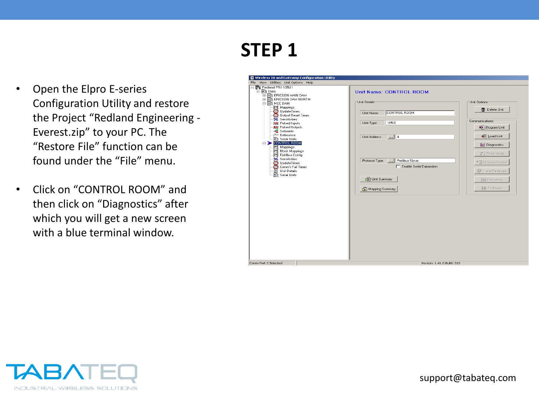- Open the Elpro E-series Configuration Utility and restore the Project "Redland Engineering - Everest.zip" to your PC. The "Restore File" function can be found under the "File" menu.
- Click on "CONTROL ROOM" and then click on "Diagnostics" after which you will get a new screen with a blue terminal window.



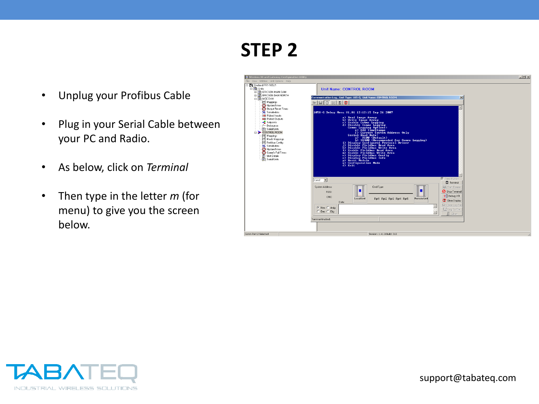- Unplug your Profibus Cable
- Plug in your Serial Cable between your PC and Radio.
- As below, click on *Terminal*
- Then type in the letter *m* (for menu) to give you the screen below.



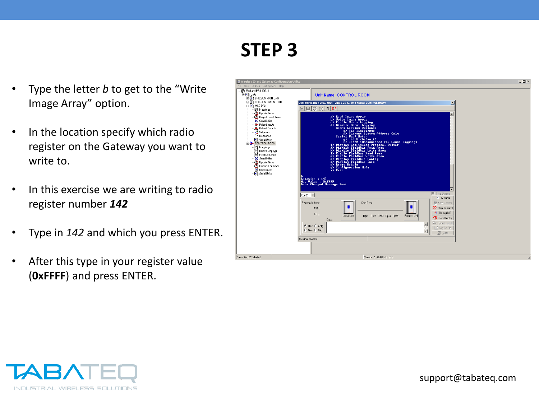- Type the letter *b* to get to the "Write Image Array" option.
- In the location specify which radio register on the Gateway you want to write to.
- In this exercise we are writing to radio register number *142*
- Type in *142* and which you press ENTER.
- After this type in your register value (**0xFFFF**) and press ENTER.

| <b>H-RIT ERICSON MAIN DAM</b><br><b>EL THE ERICSON DAM NORTH</b><br><b>E-RIT MCC DAM</b><br>Mappings<br><b>D</b> UpdateTimes<br>3 Output Reset Times<br>% Sensitivities<br><b>HH</b> Pulsed Inputs<br><b>RHI</b> Pulsed Outputs<br>-C Setpoints<br>√~ Debounce<br>In Serial Units<br>CONTROL ROOM<br>Mappings<br>- Block Mappings<br>Feldbus Config<br>% Sensitivities<br><b>D</b> UpdateTimes<br>Comm's Fail Times<br><b>N</b> Unit Details<br><b>In</b> Serial Units | Communication Log Unit Type: 105-G. Unit Name: CONTROL ROOM<br>$\mathbf{x}$<br>$\Box$ C<br>$\Box$<br>$\odot$ =<br>Figures system numers only<br>serial Band Rate and the community of the state of the state of the<br>index of the community of the state of the state of the<br>index fieldband where the state of the state of the state<br>is limit by D<br>n) Display Fieldbus Config<br>0) Display Fieldbus Info<br>p) Reset Module<br>$\overrightarrow{q}$ Configuration Mode<br>$\overrightarrow{x}$ Exit<br>Location: 142<br>New Value : ØxFFFF<br>Data Changed Message Sent |  |
|------------------------------------------------------------------------------------------------------------------------------------------------------------------------------------------------------------------------------------------------------------------------------------------------------------------------------------------------------------------------------------------------------------------------------------------------------------------------|---------------------------------------------------------------------------------------------------------------------------------------------------------------------------------------------------------------------------------------------------------------------------------------------------------------------------------------------------------------------------------------------------------------------------------------------------------------------------------------------------------------------------------------------------------------------------------------|--|
|                                                                                                                                                                                                                                                                                                                                                                                                                                                                        | <b>▼</b> Time Stamps<br>$Com2 -$<br><b>日</b> Terminal<br>System Address:<br>Cmd Type<br><b>Ext</b> Start Comms<br>n<br>Stop Terminal<br>RSSI:<br>? Debug I/O<br>CRC:<br>Local Unit<br>Remote Unit<br>Rpt1 Rpt2 Rpt3 Rpt4 Rpt5<br>C Clear Display<br>Data:<br>C Open Log File<br>C Hex C Anla<br>Log To File<br>C. Dec. C. Dig.<br>$\overline{\phantom{a}}$<br>IL Close<br>Terminal Enabled.                                                                                                                                                                                           |  |

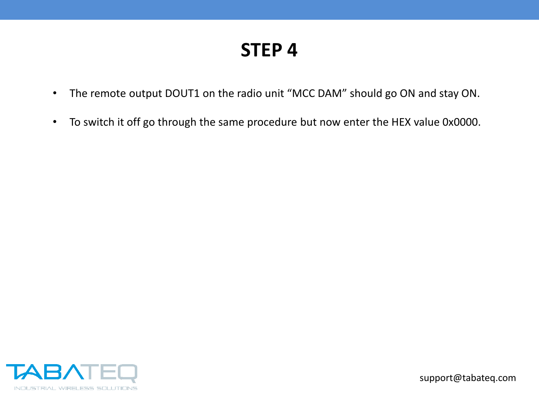- The remote output DOUT1 on the radio unit "MCC DAM" should go ON and stay ON.
- To switch it off go through the same procedure but now enter the HEX value 0x0000.